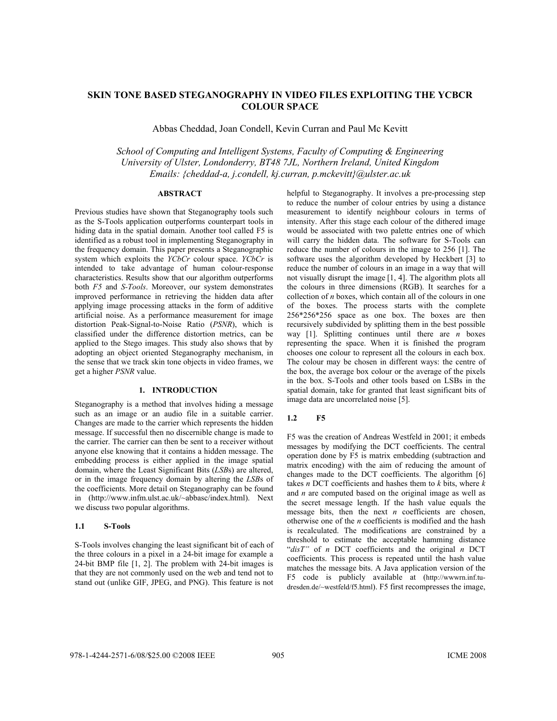# **SKIN TONE BASED STEGANOGRAPHY IN VIDEO FILES EXPLOITING THE YCBCR COLOUR SPACE**

Abbas Cheddad, Joan Condell, Kevin Curran and Paul Mc Kevitt

*School of Computing and Intelligent Systems, Faculty of Computing & Engineering University of Ulster, Londonderry, BT48 7JL, Northern Ireland, United Kingdom Emails: {cheddad-a, j.condell, kj.curran, p.mckevitt}@ulster.ac.uk* 

# **ABSTRACT**

Previous studies have shown that Steganography tools such as the S-Tools application outperforms counterpart tools in hiding data in the spatial domain. Another tool called F5 is identified as a robust tool in implementing Steganography in the frequency domain. This paper presents a Steganographic system which exploits the *YCbCr* colour space. *YCbCr* is intended to take advantage of human colour-response characteristics. Results show that our algorithm outperforms both *F5* and *S-Tools*. Moreover, our system demonstrates improved performance in retrieving the hidden data after applying image processing attacks in the form of additive artificial noise. As a performance measurement for image distortion Peak-Signal-to-Noise Ratio (*PSNR*), which is classified under the difference distortion metrics, can be applied to the Stego images. This study also shows that by adopting an object oriented Steganography mechanism, in the sense that we track skin tone objects in video frames, we get a higher *PSNR* value.

# **1. INTRODUCTION**

Steganography is a method that involves hiding a message such as an image or an audio file in a suitable carrier. Changes are made to the carrier which represents the hidden message. If successful then no discernible change is made to the carrier. The carrier can then be sent to a receiver without anyone else knowing that it contains a hidden message. The embedding process is either applied in the image spatial domain, where the Least Significant Bits (*LSB*s) are altered, or in the image frequency domain by altering the *LSB*s of the coefficients. More detail on Steganography can be found in (http://www.infm.ulst.ac.uk/~abbasc/index.html). Next we discuss two popular algorithms.

## **1.1 S-Tools**

S-Tools involves changing the least significant bit of each of the three colours in a pixel in a 24-bit image for example a 24-bit BMP file [1, 2]. The problem with 24-bit images is that they are not commonly used on the web and tend not to stand out (unlike GIF, JPEG, and PNG). This feature is not helpful to Steganography. It involves a pre-processing step to reduce the number of colour entries by using a distance measurement to identify neighbour colours in terms of intensity. After this stage each colour of the dithered image would be associated with two palette entries one of which will carry the hidden data. The software for S-Tools can reduce the number of colours in the image to 256 [1]. The software uses the algorithm developed by Heckbert [3] to reduce the number of colours in an image in a way that will not visually disrupt the image [1, 4]. The algorithm plots all the colours in three dimensions (RGB). It searches for a collection of *n* boxes, which contain all of the colours in one of the boxes. The process starts with the complete 256\*256\*256 space as one box. The boxes are then recursively subdivided by splitting them in the best possible way [1]. Splitting continues until there are *n* boxes representing the space. When it is finished the program chooses one colour to represent all the colours in each box. The colour may be chosen in different ways: the centre of the box, the average box colour or the average of the pixels in the box. S-Tools and other tools based on LSBs in the spatial domain, take for granted that least significant bits of image data are uncorrelated noise [5].

#### **1.2 F5**

F5 was the creation of Andreas Westfeld in 2001; it embeds messages by modifying the DCT coefficients. The central operation done by F5 is matrix embedding (subtraction and matrix encoding) with the aim of reducing the amount of changes made to the DCT coefficients. The algorithm [6] takes *n* DCT coefficients and hashes them to *k* bits, where *k* and *n* are computed based on the original image as well as the secret message length. If the hash value equals the message bits, then the next *n* coefficients are chosen, otherwise one of the *n* coefficients is modified and the hash is recalculated. The modifications are constrained by a threshold to estimate the acceptable hamming distance "*disT"* of *n* DCT coefficients and the original *n* DCT coefficients. This process is repeated until the hash value matches the message bits. A Java application version of the F5 code is publicly available at (http://wwwrn.inf.tudresden.de/~westfeld/f5.html). F5 first recompresses the image,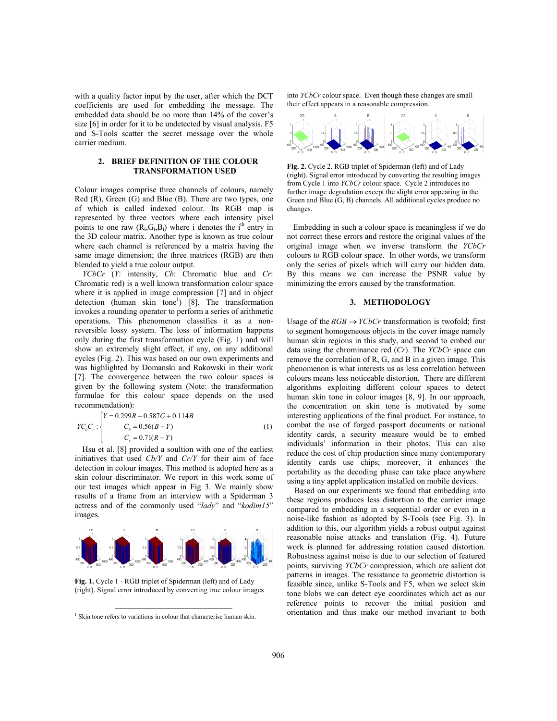with a quality factor input by the user, after which the DCT coefficients are used for embedding the message. The embedded data should be no more than 14% of the cover's size [6] in order for it to be undetected by visual analysis. F5 and S-Tools scatter the secret message over the whole carrier medium.

# **2. BRIEF DEFINITION OF THE COLOUR TRANSFORMATION USED**

Colour images comprise three channels of colours, namely Red (R), Green (G) and Blue (B). There are two types, one of which is called indexed colour. Its RGB map is represented by three vectors where each intensity pixel points to one raw  $(R_i, G_i, B_i)$  where i denotes the i<sup>th</sup> entry in the 3D colour matrix. Another type is known as true colour where each channel is referenced by a matrix having the same image dimension; the three matrices (RGB) are then blended to yield a true colour output.

*YCbCr* (*Y*: intensity, *Cb*: Chromatic blue and *Cr*: Chromatic red) is a well known transformation colour space where it is applied in image compression [7] and in object detection (human skin tone<sup>1</sup>) [8]. The transformation invokes a rounding operator to perform a series of arithmetic operations. This phenomenon classifies it as a nonreversible lossy system. The loss of information happens only during the first transformation cycle (Fig. 1) and will show an extremely slight effect, if any, on any additional cycles (Fig. 2). This was based on our own experiments and was highlighted by Domanski and Rakowski in their work [7]. The convergence between the two colour spaces is given by the following system (Note: the transformation formulae for this colour space depends on the used recommendation):

$$
YC_{b}C_{r}: \begin{cases} Y = 0.299R + 0.587G + 0.114B \\ C_{b} = 0.56(B - Y) \\ C_{r} = 0.71(R - Y) \end{cases}
$$
(1)

Hsu et al. [8] provided a soultion with one of the earliest initiatives that used *Cb/Y* and *Cr/Y* for their aim of face detection in colour images. This method is adopted here as a skin colour discriminator. We report in this work some of our test images which appear in Fig 3. We mainly show results of a frame from an interview with a Spiderman 3 actress and of the commonly used "*lady*" and "*kodim15*" images.



**Fig. 1.** Cycle 1 - RGB triplet of Spiderman (left) and of Lady (right). Signal error introduced by converting true colour images

into *YCbCr* colour space. Even though these changes are small their effect appears in a reasonable compression.



**Fig. 2.** Cycle 2. RGB triplet of Spiderman (left) and of Lady (right). Signal error introduced by converting the resulting images from Cycle 1 into *YCbCr* colour space. Cycle 2 introduces no further image degradation except the slight error appearing in the Green and Blue (G, B) channels. All additional cycles produce no changes.

Embedding in such a colour space is meaningless if we do not correct these errors and restore the original values of the original image when we inverse transform the *YCbCr* colours to RGB colour space. In other words, we transform only the series of pixels which will carry our hidden data. By this means we can increase the PSNR value by minimizing the errors caused by the transformation.

#### **3. METHODOLOGY**

Usage of the  $RGB \rightarrow YCbCr$  transformation is twofold; first to segment homogeneous objects in the cover image namely human skin regions in this study, and second to embed our data using the chrominance red (*Cr*). The *YCbCr* space can remove the correlation of R, G, and B in a given image. This phenomenon is what interests us as less correlation between colours means less noticeable distortion. There are different algorithms exploiting different colour spaces to detect human skin tone in colour images [8, 9]. In our approach, the concentration on skin tone is motivated by some interesting applications of the final product. For instance, to combat the use of forged passport documents or national identity cards, a security measure would be to embed individuals' information in their photos. This can also reduce the cost of chip production since many contemporary identity cards use chips; moreover, it enhances the portability as the decoding phase can take place anywhere using a tiny applet application installed on mobile devices.

Based on our experiments we found that embedding into these regions produces less distortion to the carrier image compared to embedding in a sequential order or even in a noise-like fashion as adopted by S-Tools (see Fig. 3). In addition to this, our algorithm yields a robust output against reasonable noise attacks and translation (Fig. 4). Future work is planned for addressing rotation caused distortion. Robustness against noise is due to our selection of featured points, surviving *YCbCr* compression, which are salient dot patterns in images. The resistance to geometric distortion is feasible since, unlike S-Tools and F5, when we select skin tone blobs we can detect eye coordinates which act as our reference points to recover the initial position and orientation and thus make our method invariant to both

<sup>&</sup>lt;sup>1</sup> Skin tone refers to variations in colour that characterise human skin.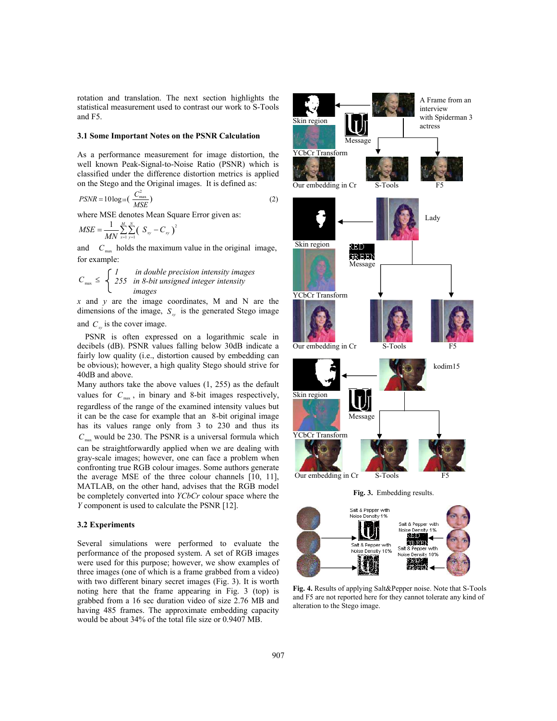rotation and translation. The next section highlights the statistical measurement used to contrast our work to S-Tools and F5.

#### **3.1 Some Important Notes on the PSNR Calculation**

As a performance measurement for image distortion, the well known Peak-Signal-to-Noise Ratio (PSNR) which is classified under the difference distortion metrics is applied on the Stego and the Original images. It is defined as:

$$
PSNR = 10\log_{10}\left(\frac{C_{\text{max}}^2}{MSE}\right)
$$
\n(2)

where MSE denotes Mean Square Error given as:

$$
MSE = \frac{1}{MN} \sum_{x=1}^{M} \sum_{y=1}^{N} (S_{xy} - C_{xy})^{2}
$$

and  $C_{\text{max}}$  holds the maximum value in the original image, for example:

$$
C_{\max} \leq \begin{cases} 1 & \text{in double precision intensity images} \\ 255 & \text{in 8-bit unsigned integer intensity} \\ & \text{images} \end{cases}
$$

*x* and *y* are the image coordinates, M and N are the dimensions of the image,  $S_{xy}$  is the generated Stego image

and  $C_{xy}$  is the cover image.

PSNR is often expressed on a logarithmic scale in decibels (dB). PSNR values falling below 30dB indicate a fairly low quality (i.e., distortion caused by embedding can be obvious); however, a high quality Stego should strive for 40dB and above.

Many authors take the above values (1, 255) as the default values for  $C_{\text{max}}$ , in binary and 8-bit images respectively, regardless of the range of the examined intensity values but it can be the case for example that an 8-bit original image has its values range only from 3 to 230 and thus its  $C_{\text{max}}$  would be 230. The PSNR is a universal formula which can be straightforwardly applied when we are dealing with gray-scale images; however, one can face a problem when confronting true RGB colour images. Some authors generate the average MSE of the three colour channels [10, 11], MATLAB, on the other hand, advises that the RGB model be completely converted into *YCbCr* colour space where the *Y* component is used to calculate the PSNR [12].

# **3.2 Experiments**

Several simulations were performed to evaluate the performance of the proposed system. A set of RGB images were used for this purpose; however, we show examples of three images (one of which is a frame grabbed from a video) with two different binary secret images (Fig. 3). It is worth noting here that the frame appearing in Fig. 3 (top) is grabbed from a 16 sec duration video of size 2.76 MB and having 485 frames. The approximate embedding capacity would be about 34% of the total file size or 0.9407 MB.



**Fig. 4.** Results of applying Salt&Pepper noise. Note that S-Tools and F5 are not reported here for they cannot tolerate any kind of alteration to the Stego image.